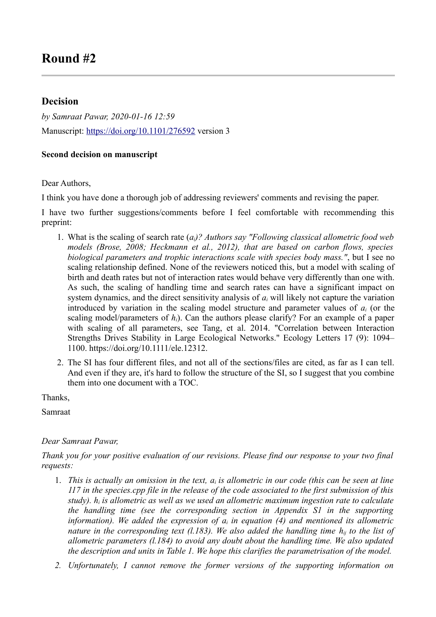## **Decision**

*by Samraat Pawar, 2020-01-16 12:59* Manuscript:<https://doi.org/10.1101/276592>version 3

## **Second decision on manuscript**

Dear Authors,

I think you have done a thorough job of addressing reviewers' comments and revising the paper.

I have two further suggestions/comments before I feel comfortable with recommending this preprint:

- 1. What is the scaling of search rate (*ai)? Authors say "Following classical allometric food web models (Brose, 2008; Heckmann et al., 2012), that are based on carbon flows, species biological parameters and trophic interactions scale with species body mass."*, but I see no scaling relationship defined. None of the reviewers noticed this, but a model with scaling of birth and death rates but not of interaction rates would behave very differently than one with. As such, the scaling of handling time and search rates can have a significant impact on system dynamics, and the direct sensitivity analysis of *ai* will likely not capture the variation introduced by variation in the scaling model structure and parameter values of *a<sup>i</sup>* (or the scaling model/parameters of *hi*). Can the authors please clarify? For an example of a paper with scaling of all parameters, see Tang, et al. 2014. "Correlation between Interaction Strengths Drives Stability in Large Ecological Networks." Ecology Letters 17 (9): 1094– 1100. https://doi.org/10.1111/ele.12312.
- 2. The SI has four different files, and not all of the sections/files are cited, as far as I can tell. And even if they are, it's hard to follow the structure of the SI, so I suggest that you combine them into one document with a TOC.

Thanks,

Samraat

## *Dear Samraat Pawar,*

*Thank you for your positive evaluation of our revisions. Please find our response to your two final requests:*

- 1. *This is actually an omission in the text, ai is allometric in our code (this can be seen at line 117 in the species.cpp file in the release of the code associated to the first submission of this study). hi is allometric as well as we used an allometric maximum ingestion rate to calculate the handling time (see the corresponding section in Appendix S1 in the supporting information). We added the expression of ai in equation (4) and mentioned its allometric nature in the corresponding text (l.183). We also added the handling time hij to the list of allometric parameters (l.184) to avoid any doubt about the handling time. We also updated the description and units in Table 1. We hope this clarifies the parametrisation of the model.*
- *2. Unfortunately, I cannot remove the former versions of the supporting information on*